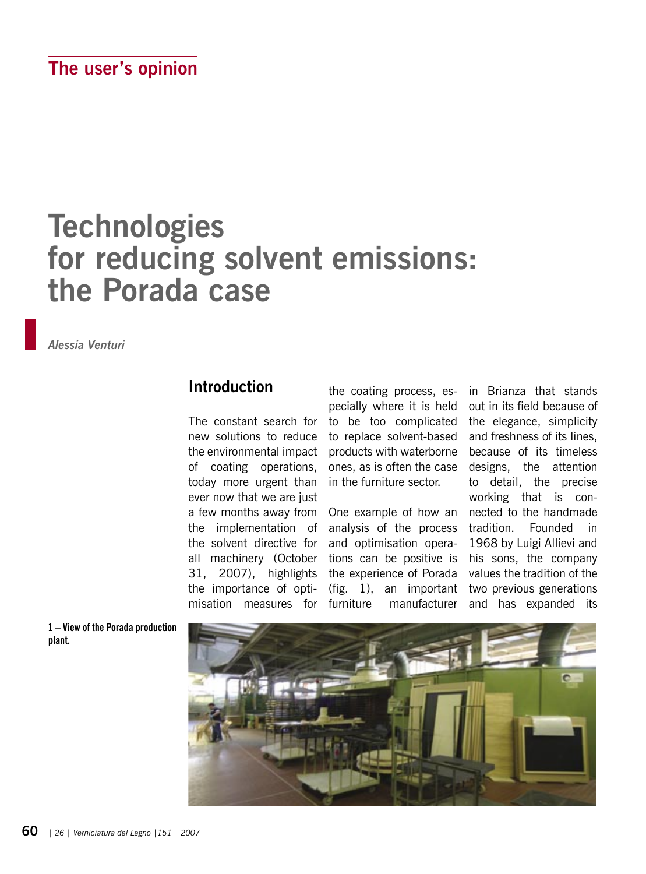## **Technologies for reducing solvent emissions: the Porada case**

*Alessia Venturi*

## **Introduction**

The constant search for new solutions to reduce the environmental impact of coating operations, today more urgent than ever now that we are just a few months away from the implementation of the solvent directive for all machinery (October 31, 2007), highlights the importance of optimisation measures for

the coating process, especially where it is held to be too complicated to replace solvent-based products with waterborne ones, as is often the case in the furniture sector.

One example of how an analysis of the process and optimisation operations can be positive is the experience of Porada (fig. 1), an important furniture manufacturer

in Brianza that stands out in its field because of the elegance, simplicity and freshness of its lines, because of its timeless designs, the attention to detail, the precise working that is connected to the handmade tradition. Founded in 1968 by Luigi Allievi and his sons, the company values the tradition of the two previous generations and has expanded its

**1 – View of the Porada production plant.**

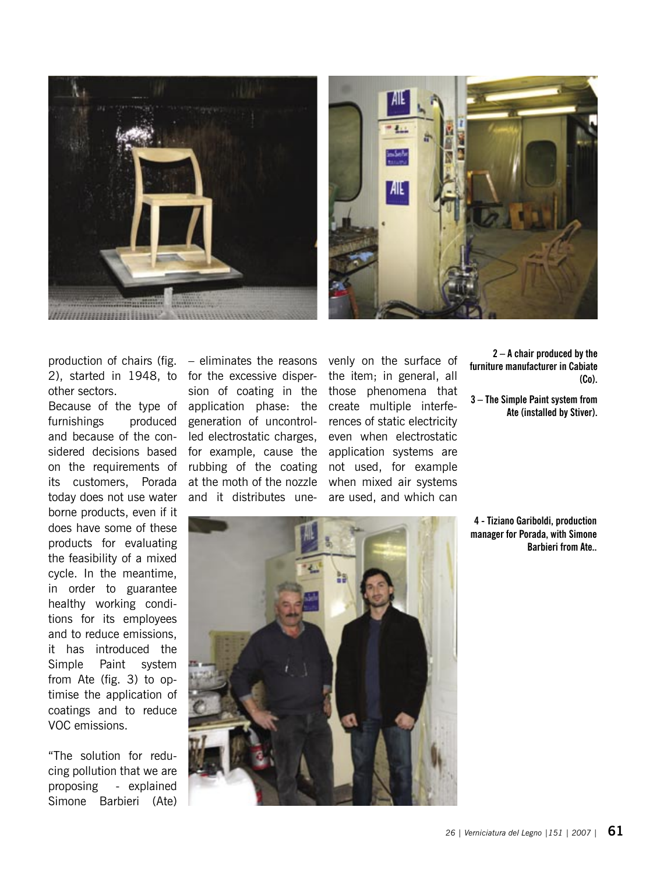



2), started in 1948, to other sectors.

Because of the type of furnishings produced and because of the considered decisions based on the requirements of its customers, Porada today does not use water borne products, even if it does have some of these products for evaluating the feasibility of a mixed cycle. In the meantime, in order to guarantee healthy working conditions for its employees and to reduce emissions, it has introduced the Simple Paint system from Ate (fig. 3) to optimise the application of coatings and to reduce VOC emissions.

"The solution for reducing pollution that we are proposing - explained Simone Barbieri (Ate)

production of chairs (fig. – eliminates the reasons for the excessive dispersion of coating in the application phase: the generation of uncontrolled electrostatic charges, for example, cause the rubbing of the coating at the moth of the nozzle and it distributes une-

venly on the surface of the item; in general, all those phenomena that create multiple interferences of static electricity even when electrostatic application systems are not used, for example when mixed air systems are used, and which can

**2 – A chair produced by the furniture manufacturer in Cabiate (Co).**

**3 – The Simple Paint system from Ate (installed by Stiver).**

**4 - Tiziano Gariboldi, production manager for Porada, with Simone Barbieri from Ate..**

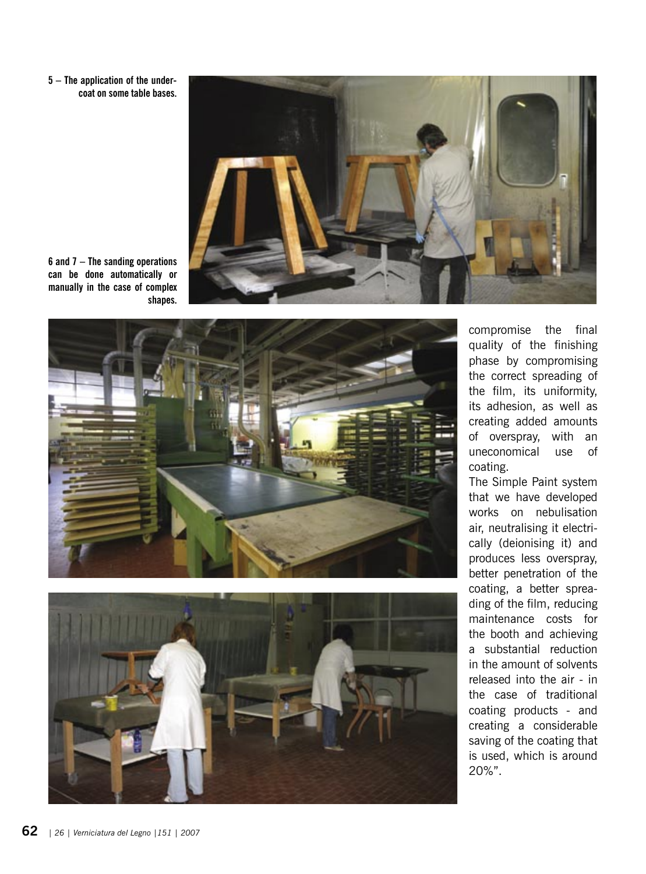**5 – The application of the under coat on some table bases.**



**6 and 7 – The sanding operations can be done automatically or manually in the case of complex shapes.**





compromise the final quality of the finishing phase by compromising the correct spreading of the film, its uniformity, its adhesion, as well as creating added amounts of overspray, with an uneconomical use of coating.

The Simple Paint system that we have developed works on nebulisation air, neutralising it electri cally (deionising it) and produces less overspray, better penetration of the coating, a better sprea ding of the film, reducing maintenance costs for the booth and achieving a substantial reduction in the amount of solvents released into the air - in the case of traditional coating products - and creating a considerable saving of the coating that is used, which is around 20%".